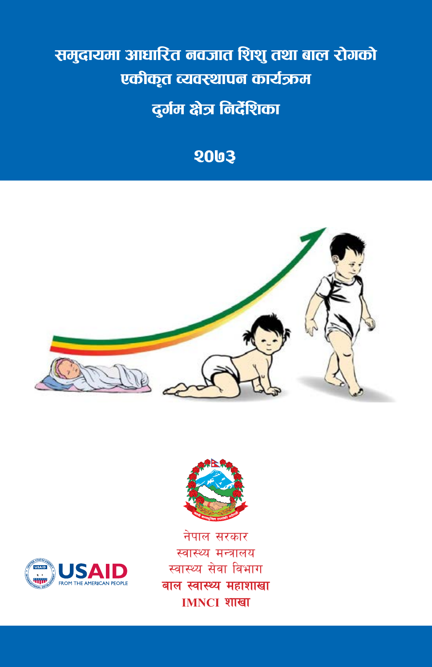# समुदायमा आधारित नवजात शिशु तथा बाल रोगको<br>. एकीकृत व्यवस्थापन कार्यऊम<br>|-<br>| नर्मम भेन निर्देषिका b'u{d If}q da Ifaqiya samance sa shekar shekar shekar shekar shekar shekar shekar shekar shekar shek<br>Biya shekar shekar shekar shekar shekar shekar shekar shekar shekar shekar shekar shekar shekar shekar shekar<br>Biya sheka gjeholden i Santan.<br>Gjeografi

#### **2003 (Community Based Integrated Management**

**of Neonatal and Childhood Illness)**







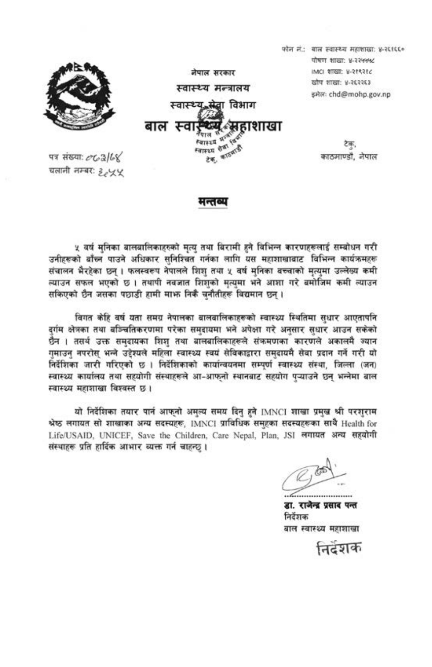

चलानी नम्बर: १,५५

मन्तव्य

५ वर्ष मुनिका बालबालिकाहरुको मृत्यु तथा बिरामी हुने विभिन्न कारणहरूलाई सम्बोधन गरी उनीहरूको बाँच्न पाउने अधिकार सनिश्चित गर्नका लागि यस महाशाखाबाट विभिन्न कार्यक्रमहरू संचालन भैरहेका छन्। फलस्वरूप नेपालले शिश तथा ५ वर्ष मनिका बच्चाको मत्यमा उल्लेख्य कमी ल्याउन सफल भएको छ। तथापी नवजात शिशको मत्यमा भने आशा गरे बमोजिम कमी ल्याउन सकिएको छैन जसका पछाडी हामी माफ निकै चनौतीहरू विद्यमान छन।

विगत केहि वर्ष यता समग्र नेपालका बालवालिकाहरूको स्वास्थ्य स्थितिमा सधार आएतापनि दर्गम क्षेत्रका तथा बञ्चितिकरणमा परेका समुदायमा भने अपेक्षा गरे अनुसार सधार आउन सकेको छैन । तसर्थ उक्त समदायका शिश तथा बालबालिकाहरूले संक्रमणका कारणले अकालमै ज्यान गुमाउन् नपरोस् भन्ने उद्देश्यले महिला स्वास्थ्य स्वयं सेविकाद्वारा समुदायमै सेवा प्रदान गर्ने गरी यो निर्देशिका जारी गरिएको छ । निर्देशिकाको कार्यान्वयनमा सम्पूर्ण स्वास्थ्य संस्था, जिल्ला (जन) स्वास्थ्य कार्यालय तथा सहयोगी संस्थाहरूले आ-आफनो स्थानबाट सहयोग पऱ्याउने छन भन्नेमा बाल स्वास्थ्य महाशाखा विश्वस्त छ।

यो निर्देशिका तयार पार्न आफ्नो अमुल्य समय दिन हुने IMNCI शाखा प्रमुख श्री परशुराम श्रेष्ठ लगायत सो शाखाका अन्य सदस्यहरू, IMNCI प्राविधिक समुहका सदस्यहरूका साथै Health for Life/USAID, UNICEF, Save the Children, Care Nepal, Plan, JSI लगायत अन्य सहयोगी संस्थाहरू प्रति हार्दिक आभार व्यक्त गर्न चाहन्छ।

डा. राजेन्द्र प्रसाद पन्त निर्देशक बाल स्वास्थ्य महाशाखा

निदेशक

फोन नं.: बाल स्वास्थ्य महाशाखा: ४-२६१६६०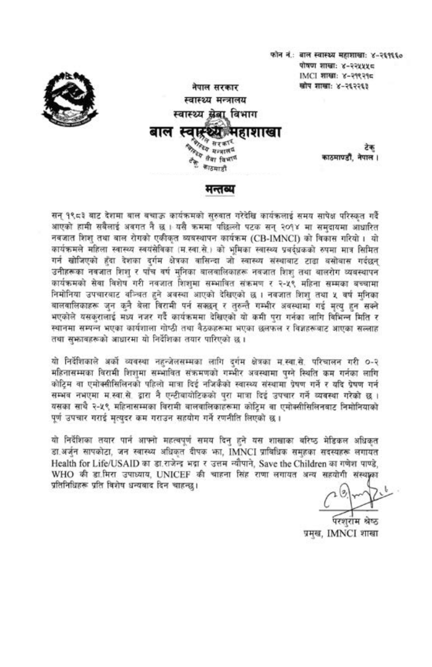फोन नं.: बाल स्वास्थ्य महाशाखाः ४-२६१६६० पोषण शाखाः ४-२२५५५८ IMCI शाखाः ४-२१९२१८ खोप शाखाः ४-२६२२६३



स्वास्थ्य मन्त्रालय स्वास्थ्य खेबा विभाग बाल स्वास्थ्या महाशाखा *कास्ट्र्य सरक*<br>सम्बद्धात्म *केन्द्रय मन्मा*<br>बैंबा विभा<sup>गि</sup> ैं काठमाडौँ

नेपाल सरकार

टेक काठमाण्डौं, नेपाल ।

मन्तव्य

सन् १९८३ बाट देशमा बाल बचाऊ कार्यक्रमको सुरुवात गरेदेखि कार्यकलाई समय सापेक्ष परिस्कृत गर्दै आएको हामी सबैलाई अवगत नै छ । यसै कममा पछिल्लो पटक सन् २०१४ मा समदायमा आधारित नवजात शिश तथा बाल रोगको एकीकत व्यवस्थापन कार्यक्रम (CB-IMNCI) को विकास गरियो। यो कार्यक्रमले महिला स्वास्थ्य स्वयंसेविका (म.स्वा.से.) को भूमिका स्वास्थ्य प्रबर्दधकको रुपमा मात्र सिमित गर्न खोजिएको हुँदा देशका दुर्गम क्षेत्रका वासिन्दा जो स्वास्थ्य संस्थाबाट टाढा बसोबास गर्दछन् उनीहरूका नवजात शिश र पाँच वर्ष मनिका बालवालिकाहरू नवजात शिश तथा बालरोग व्यवस्थापन कार्यक्रमको सेवा विशेष गरी नवजात शिशुमा सम्भावित संक्रमण र २-५९ महिना सम्मका बच्चामा निमोनिया उपचारबाट वञ्चित हुने अवस्था आएको देखिएको छ । नवजात शिश तथा ५ वर्ष मनिका वालवालिकाहरू जून कुनै बेला बिरामी पर्न सक्छन् र तरुन्तै गम्भीर अवस्थामा गई मत्य हुन सक्ने भएकोले यसकरालाई मध्य नजर गर्दै कार्यक्रममा देखिएको यो कमी पुरा गर्नका लागि विभिन्न मिति र स्थानमा सम्पन्न भएका कार्यशाला गोष्ठी तथा वैठकहरूमा भएका छलफल र विज्ञहरूबाट आएका सल्लाह तथा सुभजवहरूको आधारमा यो निर्देशिका तयार पारिएको छ ।

यो निर्देशिकाले अर्को व्यवस्था नहन्जेलसम्मका लागि दर्गम क्षेत्रका मुस्बा.से. परिचालन गरी ०-२ महिनासम्मका विरामी शिशमा सम्भावित संक्रमणको गम्भीर अवस्थामा पग्ने स्थिति कम गर्नका लागि कोटिम वा एमोक्सीसिलिनको पहिलो मात्रा दिई नजिकैको स्वास्थ्य संस्थामा प्रेषण गर्ने र यदि प्रेषण गर्न सम्भव नभएमा म.स्वा.से. द्वारा नै एन्टीबायोटिकको परा मात्रा दिई उपचार गर्ने व्यवस्था गरेको छ । यसका साथै २-५९ महिनासम्मका विरामी बालवालिकाहरूमा कोटिम वा एमोक्सीसिलिनबाट निमोनियाको पूर्ण उपचार गराई मृत्युदर कम गराउन सहयोग गर्ने रणनीति लिएको छ ।

यो निर्देशिका तयार पार्न आफ्नो महत्वपूर्ण समय दिनु हुने यस शाखाका बरिष्ठ मेडिकल अधिकृत डा.अर्जुन सापकोटा, जन स्वास्थ्य अधिकृत दीपक फा, IMNCI प्राविधिक समहका सदस्यहरू लगायत Health for Life/USAID का डा.राजेन्द्र भदा र उत्तम न्यौपाने. Save the Children का गणेश पाण्डे. WHO की डा.मिरा उपाध्याय, UNICEF की चाहना सिंह राणा लगायत अन्य सहयोगी संस्थाका प्रतिनिधिहरू प्रति विशेष धन्यवाद दिन चाहन्छ।

परशराम श्रेष्ठ प्रमख, IMNCI शाखा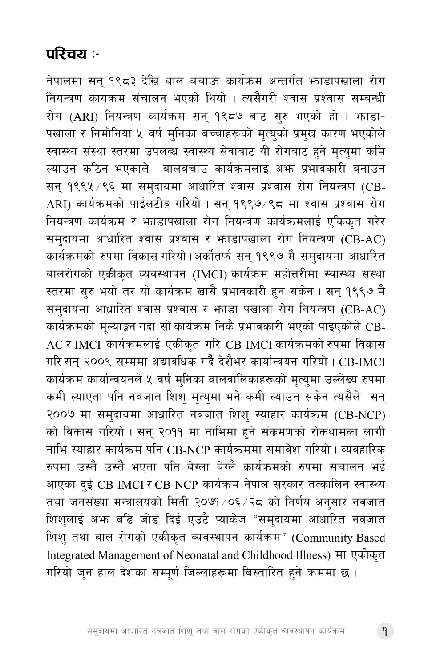### परिचय :-

नेपालमा सन् १९८३ देखि बाल बचाऊ कार्यक्रम अन्तर्गत भाडापखाला रोग नियन्त्रण कार्यक्रम संचालन भएको थियो । त्यसैगरी श्वास प्रश्वास सम्बन्धी रोग (ARI) नियन्त्रण कार्यक्रम सन् १९८७ बाट सुरु भएको हो । भनाडा-पखाला र निमोनिया ५ वर्ष मुनिका बच्चाहरूको मृत्युको प्रमुख कारण भएकोले स्वास्थ्य संस्था स्तरमा उपलब्ध स्वास्थ्य सेवाबाट यी रोगबाट हुने मृत्युमा कमि ल्याउन कठिन भएकाले बालबचाउ कार्यक्रमलाई अभ्ग प्रभावकारी बनाउन सन् १९९५ ⁄९६ मा समुदायमा आधारित श्वास प्रश्वास रोग नियन्त्रण (CB-ARI) कार्यक्रमको पाईलटीङ्ग गरियो । सन् १९९७/९८ मा श्वास प्रश्वास रोग नियन्त्रण कार्यक्रम र भाडापखाला रोग नियन्त्रण कार्यक्रमलाई एकिकत गरेर समुदायमा आधारित श्वास प्रश्वास र भाडापखाला रोग नियन्त्रण (CB-AC) कार्यक्रमको रुपमा विकास गरियो।अर्कोतर्फ सन् १९९७ मै समुदायमा आधारित बालरोगको एकीकृत व्यवस्थापन (IMCI) कार्यक्रम महोत्तरीमा स्वास्थ्य संस्था स्तरमा सुरु भयो तर यो कार्यक्रम खासै प्रभावकारी हुन सकेन । सन् १९९७ मै समुदायमा आधारित श्वास प्रश्वास र भगडा पखाला रोग नियन्त्रण (CB-AC) कार्यक्रमको मूल्याङ्कन गर्दा सो कार्यक्रम निकै प्रभावकारी भएको पाइएकोले CB-AC र IMCI कार्यक्रमलाई एकीकृत गरि CB-IMCI कार्यक्रमको रुपमा विकास गरि सन् २००९ सम्ममा अद्यावधिक गर्दै देशैभर कार्यान्वयन गरियो । CB-IMCI कार्यक्रम कार्यान्वयनले ५ वर्ष मुनिका बालवालिकाहरूको मृत्युमा उल्लेख्य रुपमा कमी ल्याएता पनि नवजात शिश् मृत्युमा भने कमी ल्याउन सकेन त्यसैले सन् २००७ मा समुदायमा आधारित नवजात शिशु स्याहार कार्यक्रम (CB-NCP) को विकास गरियो । सन् २०११ मा नाभिमा हुने संकमणको रोकथामका लागी नाभि स्याहार कार्यक्रम पनि CB-NCP कार्यक्रममा समावेश गरियो । व्यवहारिक रुपमा उस्तै उस्तै भएता पनि बेग्ला बेग्लै कार्यक्रमको रुपमा संचालन भई आएका दई CB-IMCI र CB-NCP कार्यक्रम नेपाल सरकार तत्कालिन स्वास्थ्य तथा जनसंख्या मन्त्रालयको मिती २०७१/०६/२८ को निर्णय अनुसार नवजात .<br>शिशुलाई अभ<sub>े</sub> बढि जोड दिई एउटै प्याकेज "समुदायमा आधारित नवजात शिश् तथा बाल रोगको एकीकृत व्यवस्थापन कार्यक्रम" (Community Based Integrated Management of Neonatal and Childhood Illness) मा एकीकृत गरियो जुन हाल देशका सम्पूर्ण जिल्लाहरूमा बिस्तारित हुने क्रममा छ ।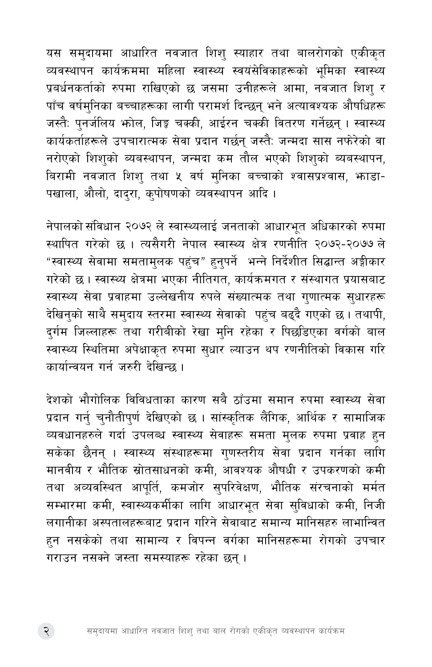यस समुदायमा आधारित नवजात शिशु स्याहार तथा बालरोगको एकीकृत व्यवस्थापन कार्यक्रममा महिला स्वास्थ्य स्वयंसेविकाहरूको भुमिका स्वास्थ्य प्रबर्धनकर्ताको रुपमा राखिएको छ जसमा उनीहरूले आमा, नवजात शिश् र पाँच वर्षमुनिका बच्चाहरूका लागी परामर्श दिन्छन् भने अत्यावश्यक औषधिहरू जस्तैः पुनर्जलिय भोल, जिङ्क चक्की, आईरन चक्की वितरण गर्नेछन् । स्वास्थ्य कार्यकर्ताहरूले उपचारात्मक सेवा प्रदान गर्छन् जस्तैः जन्मदा सास नफरेको वा नरोएको शिशको ब्यबस्थापन, जन्मदा कम तौल भएको शिशको ब्यबस्थापन, बिरामी नवजात शिश् तथा ५ वर्ष मुनिका बच्चाको श्वासप्रश्वास, भाडा-पखाला, औलो, दादरा, कपोषणको व्यवस्थापन आदि ।

नेपालको संविधान २०७२ ले स्वास्थ्यलाई जनताको आधारभुत अधिकारको रुपमा <u>स्थापित गरेको छ । त्यसैगरी नेपाल स्वास्थ्य क्षेत्र रणनीति २०७२-२०७७ ले</u> "स्वास्थ्य सेवामा समतामुलक पहुंच" हुनुपर्ने भन्ने निर्देशीत सिद्धान्त अङ्गीकार गरेको छ । स्वास्थ्य क्षेत्रमा भएका नीतिगत, कार्यक्रमगत र संस्थागत प्रयासबाट स्वास्थ्य सेवा प्रवाहमा उल्लेखनीय रुपले संख्यात्मक तथा गुणात्मक सुधारहरू देखिनुको साथै समुदाय स्तरमा स्वास्थ्य सेवाको पहुंच बढ्दै गएको छ। तथापी, दुर्गम जिल्लाहरू तथा गरीबीको रेखा मुनि रहेका र पिछडिएका वर्गको बाल स्वास्थ्य स्थितिमा अपेक्षाकृत रुपमा सुधार ल्याउन थप रणनीतिको विकास गरि कार्यान्वयन गर्न जरुरी देखिन्छ ।

देशको भौगोलिक विविधताका कारण सबै ठाँउमा समान रुपमा स्वास्थ्य सेवा प्रदान गर्न् चुनौतीपुर्ण देखिएको छ । सांस्कृतिक लैंगिक, आर्थिक र सामाजिक व्यवधानहरुले गर्दा उपलब्ध स्वास्थ्य सेवाहरू समता मुलक रुपमा प्रवाह हुन सकेका छैनन् । स्वास्थ्य संस्थाहरूमा गुणस्तरीय सेवा प्रदान गर्नका लागि मानवीय र भौतिक स्रोतसाधनको कमी, आवश्यक औषधी र उपकरणको कमी तथा अव्यवस्थित आपूर्ति, कमजोर सुपरिवेक्षण, भौतिक संरचनाको मर्मत सम्भारमा कमी, स्वास्थ्यकर्मीका लागि आधारभूत सेवा सुविधाको कमी, निजी लगानीका अस्पतालहरूबाट प्रदान गरिने सेवाबाट समान्य मानिसहरु लाभान्वित हुन नसकेको तथा सामान्य र विपन्न वर्गका मानिसहरूमा रोगको उपचार गराउन नसक्ने जस्ता समस्याहरू रहेका छन ।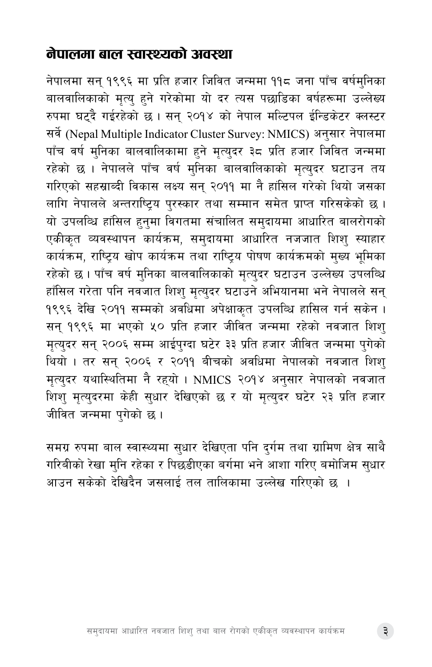#### नेपालमा बाल स्वास्थ्यको अवस्था

नेपालमा सन् १९९६ मा प्रति हजार जिवित जन्ममा ११८ जना पाँच वर्षमुनिका बालवालिकाको मृत्यु हुने गरेकोमा यो दर त्यस पछाडिका वर्षहरूमा उल्लेख्य रुपमा घट्दै गईरहेको छ। सन् २०१४ को नेपाल मल्टिपल ईन्डिकेटर क्लस्टर सर्वे (Nepal Multiple Indicator Cluster Survey: NMICS) अनुसार नेपालमा पाँच वर्ष मुनिका बालवालिकामा हुने मृत्युदर ३८ प्रति हजार जिवित जन्ममा रहेको छ । नेपालले पाँच वर्ष मुनिका बालवालिकाको मृत्युदर घटाउन तय गरिएको सहस्राब्दी विकास लक्ष्य सन् २०११ मा नै हांसिल गरेको थियो जसका लागि नेपालले अन्तराष्ट्रिय पुरस्कार तथा सम्मान समेत प्राप्त गरिसकेको छ । यो उपलब्धि हांसिल हनुमा विगतमा संचालित समुदायमा आधारित बालरोगको एकीकृत व्यवस्थापन कार्यक्रम, समुदायमा आधारित नजजात शिशु स्याहार कार्यक्रम, राष्टिय खोप कार्यक्रम तथा राष्टिय पोषण कार्यक्रमको मख्य भमिका रहेको छ । पाँच वर्ष मुनिका बालवालिकाको मृत्युदर घटाउन उल्लेख्य उपलब्धि हाँसिल गरेता पनि नवजात शिश् मृत्युदर घटाउने अभियानमा भने नेपालले सन् १९९६ देखि २०११ सम्मको अवधिमा अपेक्षाकृत उपलब्धि हासिल गर्न सकेन । सन् १९९६ मा भएको ५० प्रति हजार जीवित जन्ममा रहेको नवजात शिश् मृत्युदर सन् २००६ सम्म आईपुग्दा घटेर ३३ प्रति हजार जीवित जन्ममा पुगेको थियो । तर सन् २००६ र २०११ बीचको अवधिमा नेपालको नवजात शिशु मृत्युदर यथास्थितिमा नै रहयो । NMICS २०१४ अनुसार नेपालको नवजात शिश् मृत्युदरमा केही सुधार देखिएको छ र यो मृत्युदर घटेर २३ प्रति हजार जीवित जन्ममा पुगेको छ।

समग्र रुपमा बाल स्वास्थ्यमा सुधार देखिएता पनि दुर्गम तथा ग्रामिण क्षेत्र साथै गरिबीको रेखा मनि रहेका र पिछडीएका बर्गमा भने आशा गरिए बमोजिम सधार आउन सकेको देखिदैन जसलाई तल तालिकामा उल्लेख गरिएको छ ।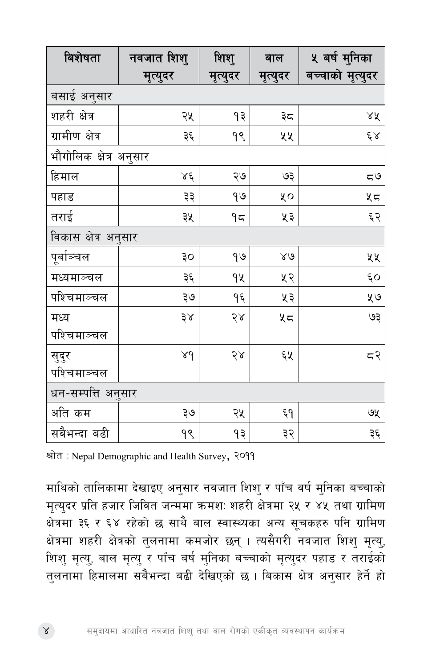| बिशेषता                | नवजात शिशु  | शिशु     | बाल          | ५ बर्ष मुनिका    |
|------------------------|-------------|----------|--------------|------------------|
|                        | मृत्युदर    | मृत्युदर | मृत्युदर     | बच्चाको मृत्युदर |
| बसाई अनुसार            |             |          |              |                  |
| शहरी क्षेत्र           | २५          | ۹३       | ३८           | ४४               |
| ग्रामीण क्षेत्र        | ३६          | ۹९       | ५५           | $\xi \, \lambda$ |
| भौगोलिक क्षेत्र अनुसार |             |          |              |                  |
| हिमाल                  | ४६          | २७       | ७३           | 55               |
| पहाड                   | ३३          | 99       | ५०           | ५८               |
| तराई                   | ३५          | ۹ς       | ५३           | ६२               |
| विकास क्षेत्र अनुसार   |             |          |              |                  |
| पूर्बाञ्चल             | οξ          | 99       | $80^{\circ}$ | ५५               |
| मध्यमाञ्चल             | ३६          | qy       | ५२           | ξO               |
| पश्चिमाञ्चल            | ३७          | ۹ξ       | ५३           | ५७               |
| मध्य                   | ३४          | $58$     | ५८           | ६७               |
| पश्चिमाञ्चल            |             |          |              |                  |
| सुदुर                  | $\lambda d$ | २४       | ६५           | ८२               |
| पश्चिमाञ्चल            |             |          |              |                  |
| धन-सम्पत्ति अनुसार     |             |          |              |                  |
| अति कम                 | २७          | २५       | ξ٩           | ७५               |
| सबैभन्दा बढी           | 99          | ۹३       | ३२           | ३६               |

श्रोत: Nepal Demographic and Health Survey, २०११

माथिको तालिकामा देखाइए अनुसार नवजात शिशु र पाँच वर्ष मुनिका बच्चाको मृत्युदर प्रति हजार जिवित जन्ममा क्रमशः शहरी क्षेत्रमा २५ र ४५ तथा ग्रामिण ू<br>क्षेत्रमा ३६ र ६४ रहेको छ साथै बाल स्वास्थ्यका अन्य सूचकहरु पनि ग्रामिण क्षेत्रमा शहरी क्षेत्रको तुलनामा कमजोर छन् । त्यसैगरी नवजात शिश् मृत्यु, शिशु मृत्यु, बाल मृत्यु र पाँच बर्ष मुनिका बच्चाको मृत्युदर पहाड र तराईको तलनामा हिमालमा सबैभन्दा बढी देखिएको छ । बिकास क्षेत्र अनुसार हेर्ने हो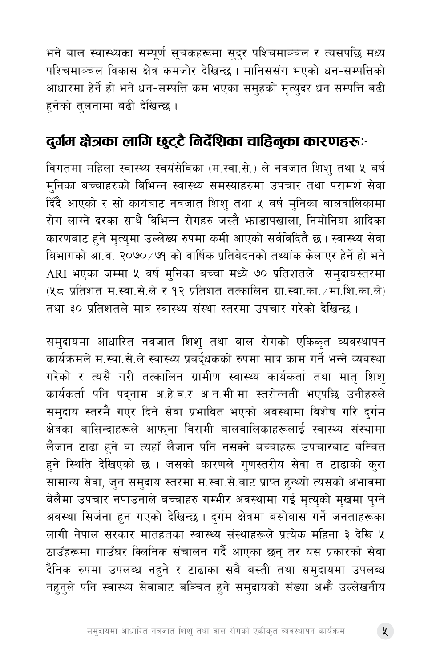भने बाल स्वास्थ्यका सम्पूर्ण सूचकहरूमा सुदुर पश्चिमाञ्चल र त्यसपछि मध्य पश्चिमाञ्चल विकास क्षेत्र कमजोर देखिन्छ । मानिससंग भएको धन-सम्पत्तिको आधारमा हेर्ने हो भने धन-सम्पत्ति कम भएका समुहको मृत्युदर धन सम्पत्ति बढी हनेको तुलनामा बढी देखिन्छ ।

### दुर्गम क्षेत्रका लागि छुट्टै निर्देशिका चाहिनुका कारणहरूः-

विगतमा महिला स्वास्थ्य स्वयंसेविका (म.स्वा.से.) ले नवजात शिश तथा ५ बर्ष मुनिका बच्चाहरुको विभिन्न स्वास्थ्य समस्याहरुमा उपचार तथा परामर्श सेवा दिंदै आएको र सो कार्यबाट नवजात शिश तथा ५ बर्ष मनिका बालवालिकामा रोग लाग्ने दरका साथै विभिन्न रोगहरु जस्तै भाडापखाला, निमोनिया आदिका कारणबाट हुने मृत्युमा उल्लेख्य रुपमा कमी आएको सर्वविदितै छ। स्वास्थ्य सेवा बिभागको आ.व. २०७० ⁄ ७१ को वार्षिक प्रतिबेदनको तथ्यांक केलाएर हेर्ने हो भने ARI भएका जम्मा ५ वर्ष मुनिका बच्चा मध्ये ७० प्रतिशतले समुदायस्तरमा (५८ प्रतिशत म.स्वा.से.ले र १२ प्रतिशत तत्कालिन ग्रा.स्वा.का./मा.शि.का.ले) तथा ३० प्रतिशतले मात्र स्वास्थ्य संस्था स्तरमा उपचार गरेको देखिन्छ ।

समुदायमा आधारित नवजात शिश् तथा बाल रोगको एकिकृत व्यवस्थापन कार्यक्रमले म.स्वा.से.ले स्वास्थ्य प्रबर्द्धकको रुपमा मात्र काम गर्ने भन्ने व्यवस्था गरेको र त्यसै गरी तत्कालिन ग्रामीण स्वास्थ्य कार्यकर्ता तथा मात शिश कार्यकर्ता पनि पद्नाम अ.हे.व.र अ.न.मी.मा स्तरोन्नती भएपछि उनीहरुले समुदाय स्तरमै गएर दिने सेवा प्रभावित भएको अवस्थामा विशेष गरि दुर्गम क्षेत्रका बासिन्दाहरूले आफुना विरामी बालवालिकाहरूलाई स्वास्थ्य संस्थामा लैजान टाढा हुने वा त्यहाँ लैजान पनि नसक्ने बच्चाहरू उपचारबाट बन्चित हुने स्थिति देखिएको छ । जसको कारणले गुणस्तरीय सेवा त टाढाको कुरा सामान्य सेवा, जुन समुदाय स्तरमा म.स्वा.से.बाट प्राप्त हुन्थ्यो त्यसको अभावमा बेलैमा उपचार नपाउनाले बच्चाहरु गम्भीर अवस्थामा गई मृत्युको मुखमा पुग्ने अवस्था सिर्जना हुन गएको देखिन्छ । दुर्गम क्षेत्रमा बसोबास गर्ने जनताहरूका लागी नेपाल सरकार मातहतका स्वास्थ्य संस्थाहरूले प्रत्येक महिना ३ देखि ५ ठाउँहरूमा गाउँघर क्लिनिक संचालन गर्दै आएका छन् तर यस प्रकारको सेवा दैनिक रुपमा उपलब्ध नहने र टाढाका सबै बस्ती तथा समुदायमा उपलब्ध नहनले पनि स्वास्थ्य सेवाबाट बञ्चित हने समुदायको संख्या अभै उल्लेखनीय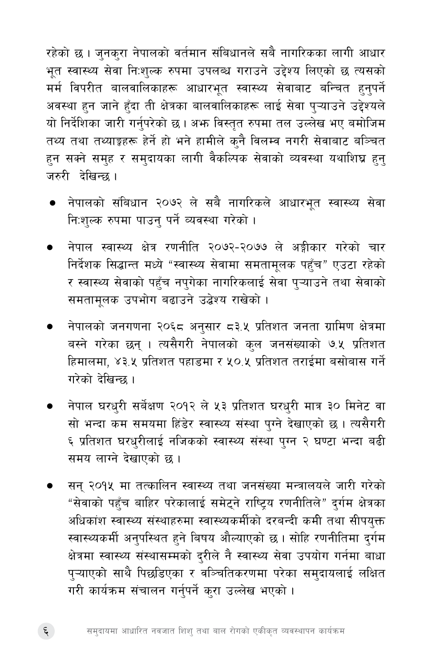रहेको छ । जुनकुरा नेपालको वर्तमान संबिधानले सबै नागरिकका लागी आधार भुत स्वास्थ्य सेवा निःशुल्क रुपमा उपलब्ध गराउने उद्देश्य लिएको छ त्यसको मर्म विपरीत बालवालिकाहरू आधारभूत स्वास्थ्य सेवाबाट बन्चित हुनुपर्ने अवस्था हुन जाने हुँदा ती क्षेत्रका बालवालिकाहरू लाई सेवा पुऱ्याउने उद्देश्यले यो निर्देशिका जारी गर्नुपरेको छ । अभ्रु विस्तृत रुपमा तल उल्लेख भए बमोजिम तथ्य तथा तथ्याङ्कहरू हेर्ने हो भने हामीले क्नै विलम्व नगरी सेवाबाट बञ्चित हुन सक्ने समुह र समुदायका लागी वैकल्पिक सेवाको व्यवस्था यथाशिघ्र हुन् जरुरी देखिन्छ ।

- नेपालको संबिधान २०७२ ले सबै नागरिकले आधारभूत स्वास्थ्य सेवा निःशुल्क रुपमा पाउन् पर्ने व्यवस्था गरेको ।
- नेपाल स्वास्थ्य क्षेत्र रणनीति २०७२-२०७७ ले अङ्गीकार गरेको चार निर्देशक सिद्धान्त मध्ये "स्वास्थ्य सेवामा समतामूलक पहुँच" एउटा रहेको र स्वास्थ्य सेवाको पहुँच नपुगेका नागरिकलाई सेवा पुऱ्याउने तथा सेवाको समतामलक उपभोग बढाउने उद्वेश्य राखेको ।
- नेपालको जनगणना २०६८ अनुसार ८३.५ प्रतिशत जनता ग्रामिण क्षेत्रमा बस्ने गरेका छन् । त्यसैगरी नेपालको कुल जनसंख्याको ७.५ प्रतिशत हिमालमा, ४३.५ प्रतिशत पहाडमा र ५०.५ प्रतिशत तराईमा बसोबास गर्ने गरेको देखिन्छ ।
- नेपाल घरधरी सर्बेक्षण २०१२ ले ५३ प्रतिशत घरधुरी मात्र ३० मिनेट वा सो भन्दा कम समयमा हिंडेर स्वास्थ्य संस्था पुग्ने देखाएको छ । त्यसैगरी ६ प्रतिशत घरधरीलाई नजिकको स्वास्थ्य संस्था पग्न २ घण्टा भन्दा बढी समय लाग्ने देखाएको छ।
- सन् २०१५ मा तत्कालिन स्वास्थ्य तथा जनसंख्या मन्त्रालयले जारी गरेको "सेवाको पहँच बाहिर परेकालाई समेटने राष्ट्यि रणनीतिले" दर्गम क्षेत्रका अधिकांश स्वास्थ्य संस्थाहरुमा स्वास्थ्यकर्मीको दरबन्दी कमी तथा सीपयुक्त स्वास्थ्यकर्मी अनुपस्थित हुने बिषय औल्याएको छ। सोहि रणनीतिमा दुर्गम क्षेत्रमा स्वास्थ्य संस्थासम्मको द्रीले नै स्वास्थ्य सेवा उपयोग गर्नमा बाधा प्ऱ्याएको साथै पिछडिएका र वञ्चितिकरणमा परेका समुदायलाई लक्षित गरी कार्यक्रम संचालन गर्नुपर्ने कुरा उल्लेख भएको ।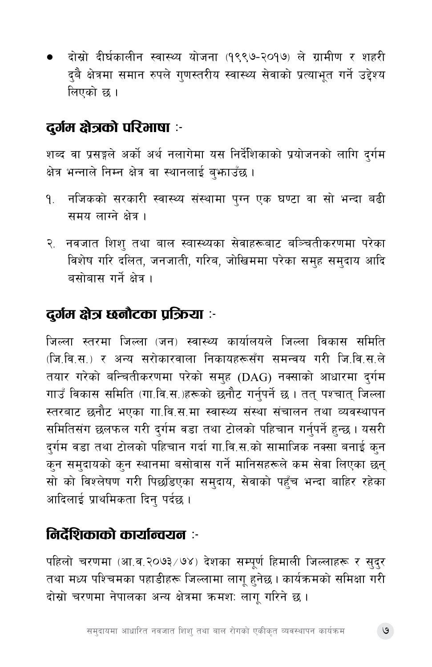दोस्रो दीर्घकालीन स्वास्थ्य योजना (१९९७-२०१७) ले ग्रामीण र शहरी दुबै क्षेत्रमा समान रुपले गुणस्तरीय स्वास्थ्य सेवाको प्रत्याभूत गर्ने उद्देश्य लिएको छ ।

### दुर्गम क्षेत्रको परिभाषा :-

शब्द वा प्रसङ्गले अर्को अर्थ नलागेमा यस निर्देशिकाको प्रयोजनको लागि दुर्गम क्षेत्र भन्नाले निम्न क्षेत्र वा स्थानलाई बुभ्फाउँछ ।

- १. नजिकको सरकारी स्वास्थ्य संस्थामा पुग्न एक घण्टा वा सो भन्दा बढी समय लाग्ने क्षेत्र ।
- २. नवजात शिश् तथा बाल स्वास्थ्यका सेवाहरूबाट बञ्चितीकरणमा परेका विशेष गरि दलित, जनजाती, गरिब, जोखिममा परेका समुह समुदाय आदि बसोबास गर्ने क्षेत्र ।

## दुर्गम क्षेत्र छनौटका प्रक्रिया :-

जिल्ला स्तरमा जिल्ला (जन) स्वास्थ्य कार्यालयले जिल्ला विकास समिति (जि.वि.स.) र अन्य सरोकारवाला निकायहरूसँग समन्वय गरी जि वि स ले तयार गरेको बन्चितीकरणमा परेको समह (DAG) नक्साको आधारमा दर्गम गाउँ विकास समिति (गा.वि.स.)हरूको छनौट गर्नुपर्ने छ । तत् पश्चात् जिल्ला स्तरबाट छनौट भएका गा.वि.स.मा स्वास्थ्य संस्था संचालन तथा व्यवस्थापन समितिसंग छलफल गरी दुर्गम वडा तथा टोलको पहिचान गर्नुपर्ने हुन्छ । यसरी दर्गम वडा तथा टोलको पहिचान गर्दा गा.वि.स.को सामाजिक नक्सा बनाई कुन कुन समुदायको कुन स्थानमा बसोवास गर्ने मानिसहरूले कम सेवा लिएका छन् सो को विश्लेषण गरी पिछडिएका समुदाय, सेवाको पहुँच भन्दा बाहिर रहेका आदिलाई प्राथमिकता दिन् पर्दछ ।

### निर्देशिकाको कार्यान्वयन :-

पहिलो चरणमा (आ.व.२०७३/७४) देशका सम्पूर्ण हिमाली जिल्लाहरू र सुदुर तथा मध्य पश्चिमका पहाडीहरू जिल्लामा लागू हुनेछ । कार्यक्रमको समिक्षा गरी दोस्रो चरणमा नेपालका अन्य क्षेत्रमा क्रमशः लागू गरिने छ ।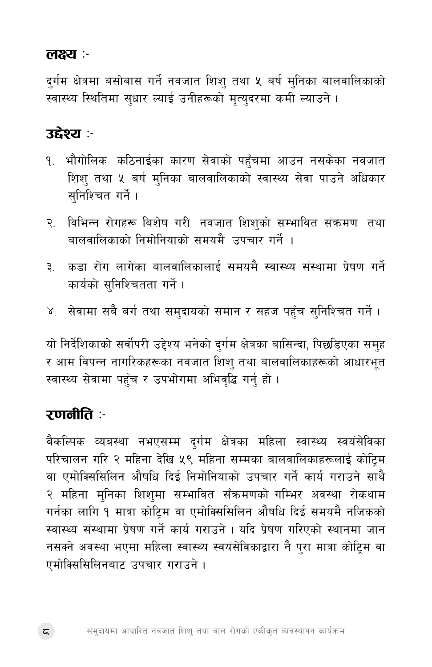#### लक्ष्य :

दुर्गम क्षेत्रमा बसोबास गर्ने नवजात शिशु तथा ५ बर्ष मुनिका बालवालिकाको स्वास्थ्य स्थितिमा सुधार ल्याई उनीहरूको मृत्युदरमा कमी ल्याउने।

#### उद्देश्य :-

- १. भौगोलिक कठिनाईका कारण सेवाको पहुँचमा आउन नसकेका नवजात शिशु तथा ५ बर्ष मुनिका बालवालिकाको स्वास्थ्य सेवा पाउने अधिकार सनिश्चित गर्ने ।
- २. विभिन्न रोगहरू बिशेष गरी नवजात शिशुको सम्भावित संक्रमण तथा बालवालिकाको निमोनियाको समयमै उपचार गर्ने ।
- कडा रोग लागेका बालवालिकालाई समयमै स्वास्थ्य संस्थामा प्रेषण गर्ने  $\epsilon$ कार्यको सनिश्चितता गर्ने ।
- ४. सेवामा सबै बर्ग तथा समुदायको समान र सहज पहुँच सुनिश्चित गर्ने ।

यो निर्देशिकाको सर्वोपरी उद्देश्य भनेको दुर्गम क्षेत्रका बासिन्दा, पिछडिएका समुह र आम विपन्न नागरिकहरूका नवजात शिश् तथा बालवालिकाहरूको आधारभूत स्वास्थ्य सेवामा पहुँच र उपभोगमा अभिवृद्धि गर्नु हो ।

### रणनीति :-

बैकल्पिक व्यबस्था नभएसम्म दुर्गम क्षेत्रका महिला स्वास्थ्य स्वयंसेविका परिचालन गरि २ महिना देखि ५९ महिना सम्मका बालवालिकाहरूलाई कोट्मि वा एमोक्सिसिलिन औषधि दिई निमोनियाको उपचार गर्ने कार्य गराउने साथै २ महिना मुनिका शिशुमा सम्भावित सँक्रमणको गम्भिर अवस्था रोकथाम गर्नका लागि 9 मात्रा कोटिम वा एमोक्सिसिलिन औषधि दिई समयमै नजिकको स्वास्थ्य संस्थामा प्रेषण गर्ने कार्य गराउने । यदि प्रेषण गरिएको स्थानमा जान नसक्ने अवस्था भएमा महिला स्वास्थ्य स्वयंसेविकाद्वारा नै पुरा मात्रा कोट्रिम वा एमोक्सिसिलिनबाट उपचार गराउने।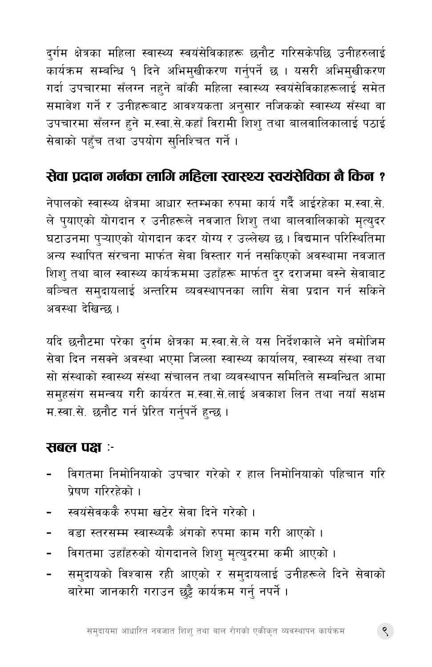दुर्गम क्षेत्रका महिला स्वास्थ्य स्वयंसेविकाहरू छनौट गरिसकेपछि उनीहरुलाई कार्यक्रम सम्बन्धि १ दिने अभिमुखीकरण गर्नुपर्ने छ । यसरी अभिमुखीकरण गर्दा उपचारमा सँलग्न नहने बाँकी महिला स्वास्थ्य स्वयंसेविकाहरूलाई समेत समावेश गर्ने र उनीहरूबाट आवश्यकता अनुसार नजिकको स्वास्थ्य सँस्था वा उपचारमा सँलग्न हुने म.स्वा.से.कहाँ विरामी शिशु तथा बालवालिकालाई पठाई सेवाको पहुँच तथा उपयोग सुनिश्चित गर्ने ।

## सेवा पदान गर्नका लागि महिला स्वास्थ्य स्वयंसेविका नै किन ?

नेपालको स्वास्थ्य क्षेत्रमा आधार स्तम्भका रुपमा कार्य गर्दै आईरहेका म.स्वा.से. ले पुयाएको योगदान र उनीहरूले नवजात शिशु तथा बालवालिकाको मृत्युदर घटाउनमा प्ऱ्याएको योगदान कदर योग्य र उल्लेख्य छ। विद्यमान परिस्थितिमा अन्य स्थापित संरचना मार्फत सेवा विस्तार गर्न नसकिएको अवस्थामा नवजात शिश् तथा बाल स्वास्थ्य कार्यक्रममा उहाँहरू मार्फत दुर दराजमा बस्ने सेवाबाट बञ्चित समुदायलाई अन्तरिम व्यवस्थापनका लागि सेवा प्रदान गर्न सकिने अवस्था देखिन्छ ।

यदि छनौटमा परेका दुर्गम क्षेत्रका म.स्वा.से.ले यस निर्देशकाले भने बमोजिम सेवा दिन नसक्ने अवस्था भएमा जिल्ला स्वास्थ्य कार्यालय, स्वास्थ्य संस्था तथा सो संस्थाको स्वास्थ्य संस्था संचालन तथा व्यवस्थापन समितिले सम्बन्धित आमा समुहसंग समन्वय गरी कार्यरत म.स्वा.से.लाई अवकाश लिन तथा नयाँ सक्षम म.स्वा.से. छनौट गर्न प्रेरित गर्नपर्ने हन्छ ।

#### सबल पक्ष :-

- विगतमा निमोनियाको उपचार गरेको र हाल निमोनियाको पहिचान गरि पेषण गरिरहेको ।
- स्वयंसेवककै रुपमा खटेर सेवा दिने गरेको ।
- वडा स्तरसम्म स्वास्थ्यकै अंगको रुपमा काम गरी आएको ।
- विगतमा उहाँहरुको योगदानले शिशु मृत्युदरमा कमी आएको ।  $\blacksquare$
- समुदायको विश्वास रही आएको र समुदायलाई उनीहरूले दिने सेवाको बारेमा जानकारी गराउन छुट्टै कार्यक्रम गर्नु नपर्ने ।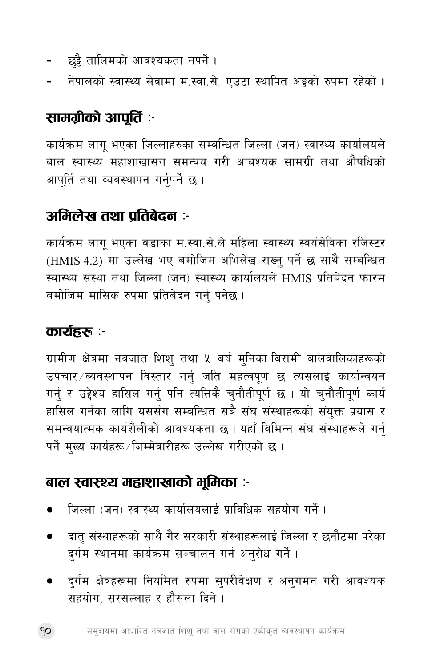- छट्टै तालिमको आवश्यकता नपर्ने ।
- नेपालको स्वास्थ्य सेवामा म.स्वा.से. एउटा स्थापित अङ्गको रुपमा रहेको ।

# सामग्रीको आपूर्ति :-

कार्यक्रम लाग भएका जिल्लाहरुका सम्बन्धित जिल्ला (जन) स्वास्थ्य कार्यालयले बाल स्वास्थ्य महाशाखासंग समन्वय गरी आबश्यक सामग्री तथा औषधिको आपूर्ति तथा व्यवस्थापन गर्नुपर्ने छ ।

### अभिलेख तथा पतिबेदन :-

कार्यक्रम लागू भएका वडाका म.स्वा.से.ले महिला स्वास्थ्य स्वयंसेविका रजिस्टर (HMIS 4.2) मा उल्लेख भए बमोजिम अभिलेख राख्न पर्ने छ साथै सम्बन्धित स्वास्थ्य संस्था तथा जिल्ला (जन) स्वास्थ्य कार्यालयले HMIS प्रतिबेदन फारम बमोजिम मासिक रुपमा प्रतिबेदन गर्नु पर्नेछ ।

#### कार्यहरू :-

ग्रामीण क्षेत्रमा नवजात शिश् तथा ५ बर्ष मुनिका बिरामी बालवालिकाहरूको उपचार ब्यवस्थापन विस्तार गर्नु जति महत्वपूर्ण छ त्यसलाई कार्यान्वयन गर्न र उद्देश्य हासिल गर्न पनि त्यत्तिकै चनौतीपर्ण छ । यो चनौतीपर्ण कार्य हासिल गर्नका लागि यससँग सम्बन्धित सबै संघ संस्थाहरूको संयुक्त प्रयास र समन्वयात्मक कार्यशैलीको आवश्यकता छ । यहाँ विभिन्न संघ संस्थाहरूले गर्न् पर्ने मुख्य कार्यहरू/जिम्मेवारीहरू उल्लेख गरीएको छ।

### बाल स्वास्थ्य महाशाखाको भूमिका :-

- जिल्ला (जन) स्वास्थ्य कार्यालयलाई प्राविधिक सहयोग गर्ने ।
- दातु संस्थाहरूको साथै गैर सरकारी संस्थाहरूलाई जिल्ला र छनौटमा परेका दर्गम स्थानमा कार्यक्रम सञ्चालन गर्न अनरोध गर्ने ।
- दर्गम क्षेत्रहरूमा नियमित रुपमा सुपरीवेक्षण र अनुगमन गरी आवश्यक सहयोग, सरसल्लाह र हौसला दिने ।

90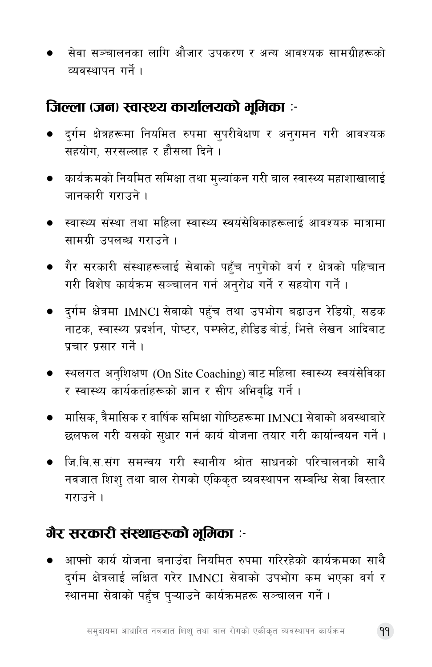सेवा सञ्चालनका लागि औजार उपकरण र अन्य आवश्यक सामग्रीहरूको व्यवस्थापन गर्ने।

#### जिल्ला (जन) स्वास्थ्य कार्यालयको भूमिका :-

- दर्गम क्षेत्रहरूमा नियमित रुपमा सपरीवेक्षण र अनगमन गरी आवश्यक सहयोग. सरसल्लाह र हौसला दिने ।
- कार्यक्रमको नियमित समिक्षा तथा मुल्यांकन गरी बाल स्वास्थ्य महाशाखालाई जानकारी गराउने ।
- स्वास्थ्य संस्था तथा महिला स्वास्थ्य स्वयंसेविकाहरूलाई आवश्यक मात्रामा सामग्री उपलब्ध गराउने ।
- गैर सरकारी संस्थाहरूलाई सेवाको पहँच नपगेको वर्ग र क्षेत्रको पहिचान गरी विशेष कार्यक्रम सञ्चालन गर्न अनुरोध गर्ने र सहयोग गर्ने ।
- दुर्गम क्षेत्रमा IMNCI सेवाको पहुँच तथा उपभोग बढाउन रेडियो, सडक नाटक, स्वास्थ्य प्रदर्शन, पोष्टर, पम्पलेट, होडिड बोर्ड, भित्ते लेखन आदिबाट पचार पसार गर्ने ।
- स्थलगत अनशिक्षण (On Site Coaching) बाट महिला स्वास्थ्य स्वयंसेविका र स्वास्थ्य कार्यकर्ताहरूको ज्ञान र सीप अभिवृद्धि गर्ने ।
- मासिक, त्रैमासिक र वार्षिक समिक्षा गोष्ठिहरूमा IMNCI सेवाको अवस्थाबारे छलफल गरी यसको सुधार गर्न कार्य योजना तयार गरी कार्यान्वयन गर्ने।
- जि.वि.स.संग समन्वय गरी स्थानीय श्रोत साधनको परिचालनको साथै नवजात शिश तथा बाल रोगको एकिकत ब्यबस्थापन सम्बन्धि सेवा बिस्तार गराउने ।

# गैर सरकारी संस्थाहरूको भूमिका :-

● आफ्नो कार्य योजना बनाउँदा नियमित रुपमा गरिरहेको कार्यक्रमका साथै दर्गम क्षेत्रलाई लक्षित गरेर IMNCI सेवाको उपभोग कम भएका वर्ग र स्थानमा सेवाको पहुँच पुऱ्याउने कार्यक्रमहरू सञ्चालन गर्ने।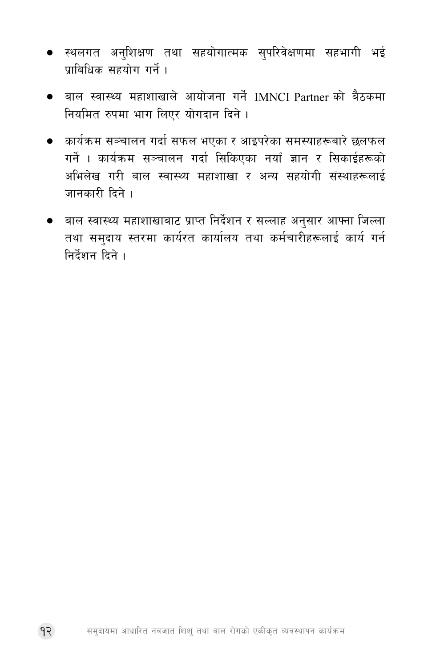- स्थलगत अनुशिक्षण तथा सहयोगात्मक सुपरिवेक्षणमा सहभागी भई पाबिधिक सहयोग गर्ने ।
- बाल स्वास्थ्य महाशाखाले आयोजना गर्ने IMNCI Partner को बैठकमा नियमित रुपमा भाग लिएर योगदान दिने।
- कार्यक्रम सञ्चालन गर्दा सफल भएका र आइपरेका समस्याहरूबारे छलफल गर्ने । कार्यक्रम सञ्चालन गर्दा सिकिएका नयाँ ज्ञान र सिकाईहरूको अभिलेख गरी बाल स्वास्थ्य महाशाखा र अन्य सहयोगी संस्थाहरूलाई जानकारी दिने ।
- बाल स्वास्थ्य महाशाखाबाट प्राप्त निर्देशन र सल्लाह अनुसार आफ्ना जिल्ला तथा समुदाय स्तरमा कार्यरत कार्यालय तथा कर्मचारीहरूलाई कार्य गर्न निर्देशन दिने ।